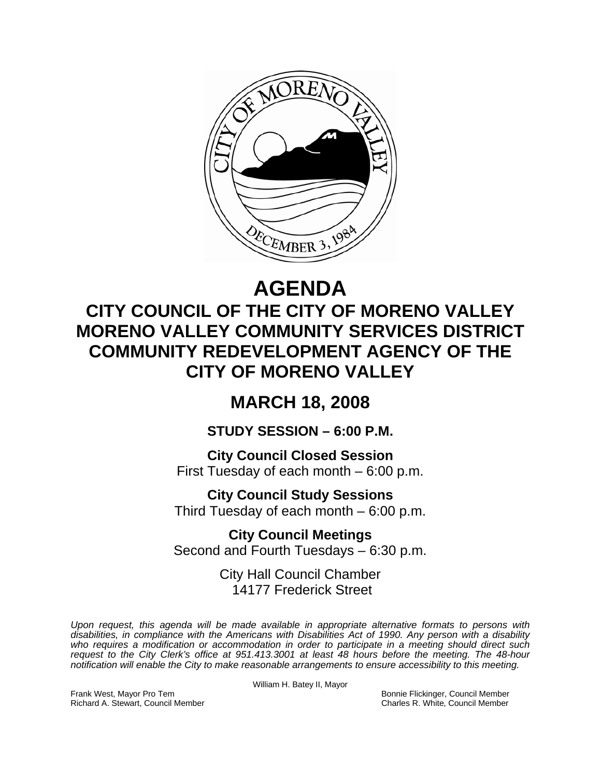

# **AGENDA**

## **CITY COUNCIL OF THE CITY OF MORENO VALLEY MORENO VALLEY COMMUNITY SERVICES DISTRICT COMMUNITY REDEVELOPMENT AGENCY OF THE CITY OF MORENO VALLEY**

### **MARCH 18, 2008**

**STUDY SESSION – 6:00 P.M.** 

**City Council Closed Session**  First Tuesday of each month – 6:00 p.m.

**City Council Study Sessions**  Third Tuesday of each month – 6:00 p.m.

**City Council Meetings**  Second and Fourth Tuesdays – 6:30 p.m.

> City Hall Council Chamber 14177 Frederick Street

*Upon request, this agenda will be made available in appropriate alternative formats to persons with disabilities, in compliance with the Americans with Disabilities Act of 1990. Any person with a disability*  who requires a modification or accommodation in order to participate in a meeting should direct such *request to the City Clerk's office at 951.413.3001 at least 48 hours before the meeting. The 48-hour notification will enable the City to make reasonable arrangements to ensure accessibility to this meeting.* 

William H. Batey II, Mayor

Frank West, Mayor Pro Tem Bonnie Flickinger, Council Member Richard A. Stewart, Council Member Charles R. White, Council Member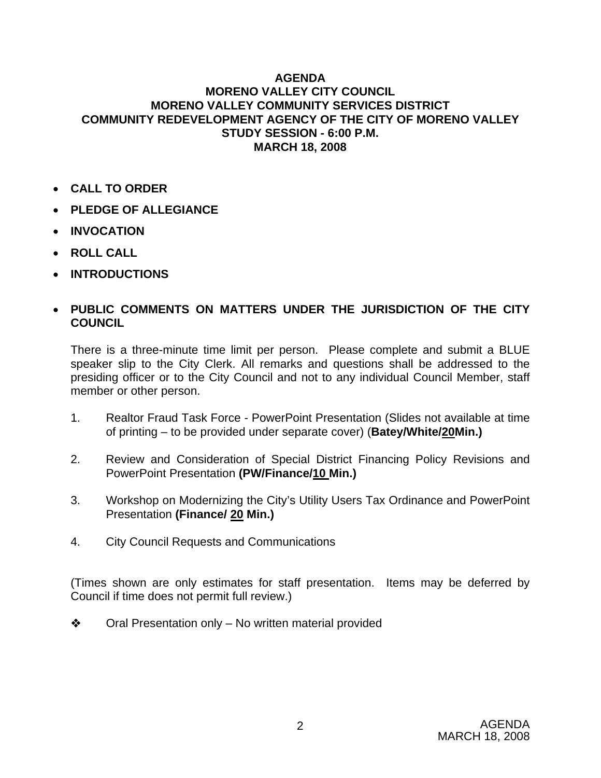#### **AGENDA MORENO VALLEY CITY COUNCIL MORENO VALLEY COMMUNITY SERVICES DISTRICT COMMUNITY REDEVELOPMENT AGENCY OF THE CITY OF MORENO VALLEY STUDY SESSION - 6:00 P.M. MARCH 18, 2008**

- **CALL TO ORDER**
- **PLEDGE OF ALLEGIANCE**
- **INVOCATION**
- **ROLL CALL**
- **INTRODUCTIONS**

#### • **PUBLIC COMMENTS ON MATTERS UNDER THE JURISDICTION OF THE CITY COUNCIL**

There is a three-minute time limit per person. Please complete and submit a BLUE speaker slip to the City Clerk. All remarks and questions shall be addressed to the presiding officer or to the City Council and not to any individual Council Member, staff member or other person.

- 1. Realtor Fraud Task Force PowerPoint Presentation (Slides not available at time of printing – to be provided under separate cover) (**Batey/White/20Min.)**
- 2. Review and Consideration of Special District Financing Policy Revisions and PowerPoint Presentation **(PW/Finance/10 Min.)**
- 3. Workshop on Modernizing the City's Utility Users Tax Ordinance and PowerPoint Presentation **(Finance/ 20 Min.)**
- 4. City Council Requests and Communications

(Times shown are only estimates for staff presentation. Items may be deferred by Council if time does not permit full review.)

 $\triangle$  Oral Presentation only – No written material provided